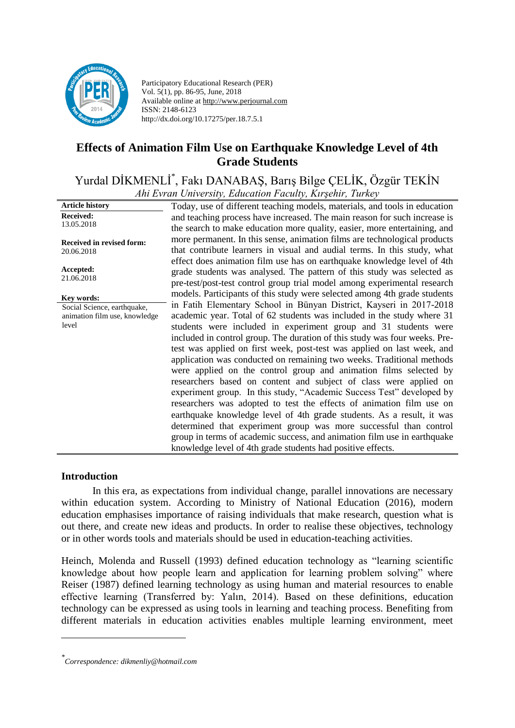

Participatory Educational Research (PER) Vol. 5(1), pp. 86-95, June, 2018 Available online at http://www.perjournal.com ISSN: 2148-6123 http://dx.doi.org/10.17275/per.18.7.5.1

# **Effects of Animation Film Use on Earthquake Knowledge Level of 4th Grade Students**

#### Yurdal DİKMENLİ\* , Fakı DANABAŞ, Barış Bilge ÇELİK, Özgür TEKİN *Ahi Evran University, Education Faculty, Kırşehir, Turkey*

|                               | <i>And Evran Oniversity, Education Pacifity, Kirgenii , Turkey</i>         |
|-------------------------------|----------------------------------------------------------------------------|
| <b>Article history</b>        | Today, use of different teaching models, materials, and tools in education |
| <b>Received:</b>              | and teaching process have increased. The main reason for such increase is  |
| 13.05.2018                    | the search to make education more quality, easier, more entertaining, and  |
| Received in revised form:     | more permanent. In this sense, animation films are technological products  |
| 20.06.2018                    | that contribute learners in visual and audial terms. In this study, what   |
|                               | effect does animation film use has on earthquake knowledge level of 4th    |
| Accepted:                     | grade students was analysed. The pattern of this study was selected as     |
| 21.06.2018                    |                                                                            |
|                               | pre-test/post-test control group trial model among experimental research   |
| Key words:                    | models. Participants of this study were selected among 4th grade students  |
| Social Science, earthquake,   | in Fatih Elementary School in Bünyan District, Kayseri in 2017-2018        |
| animation film use, knowledge | academic year. Total of 62 students was included in the study where 31     |
| level                         | students were included in experiment group and 31 students were            |
|                               | included in control group. The duration of this study was four weeks. Pre- |
|                               | test was applied on first week, post-test was applied on last week, and    |
|                               | application was conducted on remaining two weeks. Traditional methods      |
|                               | were applied on the control group and animation films selected by          |
|                               | researchers based on content and subject of class were applied on          |
|                               | experiment group. In this study, "Academic Success Test" developed by      |
|                               |                                                                            |
|                               | researchers was adopted to test the effects of animation film use on       |
|                               | earthquake knowledge level of 4th grade students. As a result, it was      |
|                               | determined that experiment group was more successful than control          |
|                               | group in terms of academic success, and animation film use in earthquake   |
|                               | knowledge level of 4th grade students had positive effects.                |

#### **Introduction**

<u>.</u>

In this era, as expectations from individual change, parallel innovations are necessary within education system. According to Ministry of National Education (2016), modern education emphasises importance of raising individuals that make research, question what is out there, and create new ideas and products. In order to realise these objectives, technology or in other words tools and materials should be used in education-teaching activities.

Heinch, Molenda and Russell (1993) defined education technology as "learning scientific knowledge about how people learn and application for learning problem solving" where Reiser (1987) defined learning technology as using human and material resources to enable effective learning (Transferred by: Yalın, 2014). Based on these definitions, education technology can be expressed as using tools in learning and teaching process. Benefiting from different materials in education activities enables multiple learning environment, meet

*<sup>\*</sup> Correspondence: dikmenliy@hotmail.com*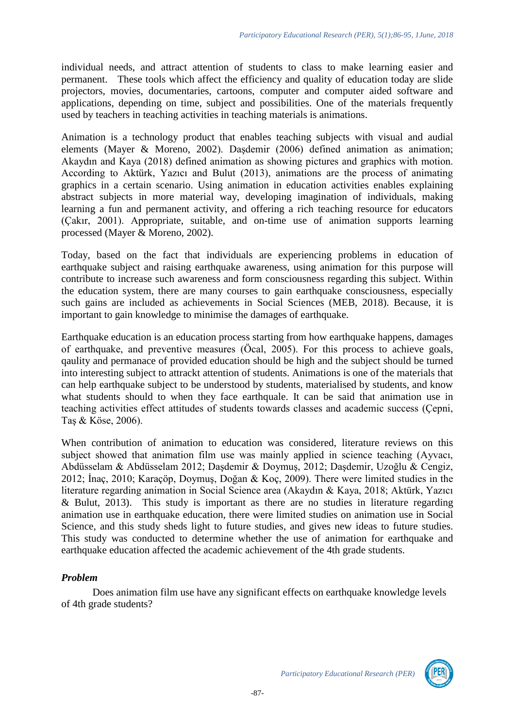individual needs, and attract attention of students to class to make learning easier and permanent. These tools which affect the efficiency and quality of education today are slide projectors, movies, documentaries, cartoons, computer and computer aided software and applications, depending on time, subject and possibilities. One of the materials frequently used by teachers in teaching activities in teaching materials is animations.

Animation is a technology product that enables teaching subjects with visual and audial elements (Mayer & Moreno, 2002). Daşdemir (2006) defined animation as animation; Akaydın and Kaya (2018) defined animation as showing pictures and graphics with motion. According to Aktürk, Yazıcı and Bulut (2013), animations are the process of animating graphics in a certain scenario. Using animation in education activities enables explaining abstract subjects in more material way, developing imagination of individuals, making learning a fun and permanent activity, and offering a rich teaching resource for educators (Çakır, 2001). Appropriate, suitable, and on-time use of animation supports learning processed (Mayer & Moreno, 2002).

Today, based on the fact that individuals are experiencing problems in education of earthquake subject and raising earthquake awareness, using animation for this purpose will contribute to increase such awareness and form consciousness regarding this subject. Within the education system, there are many courses to gain earthquake consciousness, especially such gains are included as achievements in Social Sciences (MEB, 2018). Because, it is important to gain knowledge to minimise the damages of earthquake.

Earthquake education is an education process starting from how earthquake happens, damages of earthquake, and preventive measures (Öcal, 2005). For this process to achieve goals, qaulity and permanace of provided education should be high and the subject should be turned into interesting subject to attrackt attention of students. Animations is one of the materials that can help earthquake subject to be understood by students, materialised by students, and know what students should to when they face earthquale. It can be said that animation use in teaching activities effect attitudes of students towards classes and academic success (Çepni, Taş & Köse, 2006).

When contribution of animation to education was considered, literature reviews on this subject showed that animation film use was mainly applied in science teaching (Ayvacı, Abdüsselam & Abdüsselam 2012; Daşdemir & Doymuş, 2012; Daşdemir, Uzoğlu & Cengiz, 2012; İnaç, 2010; Karaçöp, Doymuş, Doğan & Koç, 2009). There were limited studies in the literature regarding animation in Social Science area (Akaydın & Kaya, 2018; Aktürk, Yazıcı & Bulut, 2013). This study is important as there are no studies in literature regarding animation use in earthquake education, there were limited studies on animation use in Social Science, and this study sheds light to future studies, and gives new ideas to future studies. This study was conducted to determine whether the use of animation for earthquake and earthquake education affected the academic achievement of the 4th grade students.

# *Problem*

Does animation film use have any significant effects on earthquake knowledge levels of 4th grade students?

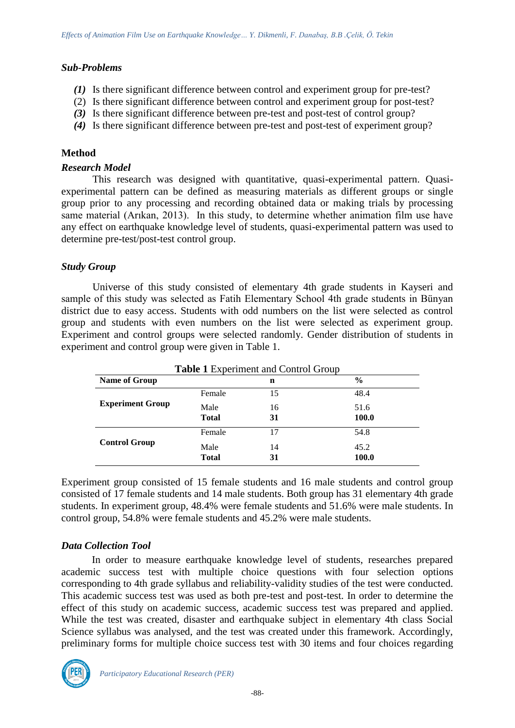# *Sub-Problems*

- *(1)* Is there significant difference between control and experiment group for pre-test?
- (2) Is there significant difference between control and experiment group for post-test?
- *(3)* Is there significant difference between pre-test and post-test of control group?
- *(4)* Is there significant difference between pre-test and post-test of experiment group?

# **Method**

#### *Research Model*

This research was designed with quantitative, quasi-experimental pattern. Quasiexperimental pattern can be defined as measuring materials as different groups or single group prior to any processing and recording obtained data or making trials by processing same material (Arıkan, 2013). In this study, to determine whether animation film use have any effect on earthquake knowledge level of students, quasi-experimental pattern was used to determine pre-test/post-test control group.

#### *Study Group*

Universe of this study consisted of elementary 4th grade students in Kayseri and sample of this study was selected as Fatih Elementary School 4th grade students in Bünyan district due to easy access. Students with odd numbers on the list were selected as control group and students with even numbers on the list were selected as experiment group. Experiment and control groups were selected randomly. Gender distribution of students in experiment and control group were given in Table 1.

| <b>Table 1 Experiment and Control Group</b> |              |    |               |  |  |
|---------------------------------------------|--------------|----|---------------|--|--|
| Name of Group                               |              | n  | $\frac{6}{9}$ |  |  |
|                                             | Female       | 15 | 48.4          |  |  |
| <b>Experiment Group</b>                     | Male         | 16 | 51.6          |  |  |
|                                             | <b>Total</b> | 31 | 100.0         |  |  |
|                                             | Female       | 17 | 54.8          |  |  |
| <b>Control Group</b>                        | Male         | 14 | 45.2          |  |  |
|                                             | <b>Total</b> | 31 | 100.0         |  |  |

Experiment group consisted of 15 female students and 16 male students and control group consisted of 17 female students and 14 male students. Both group has 31 elementary 4th grade students. In experiment group, 48.4% were female students and 51.6% were male students. In control group, 54.8% were female students and 45.2% were male students.

# *Data Collection Tool*

In order to measure earthquake knowledge level of students, researches prepared academic success test with multiple choice questions with four selection options corresponding to 4th grade syllabus and reliability-validity studies of the test were conducted. This academic success test was used as both pre-test and post-test. In order to determine the effect of this study on academic success, academic success test was prepared and applied. While the test was created, disaster and earthquake subject in elementary 4th class Social Science syllabus was analysed, and the test was created under this framework. Accordingly, preliminary forms for multiple choice success test with 30 items and four choices regarding

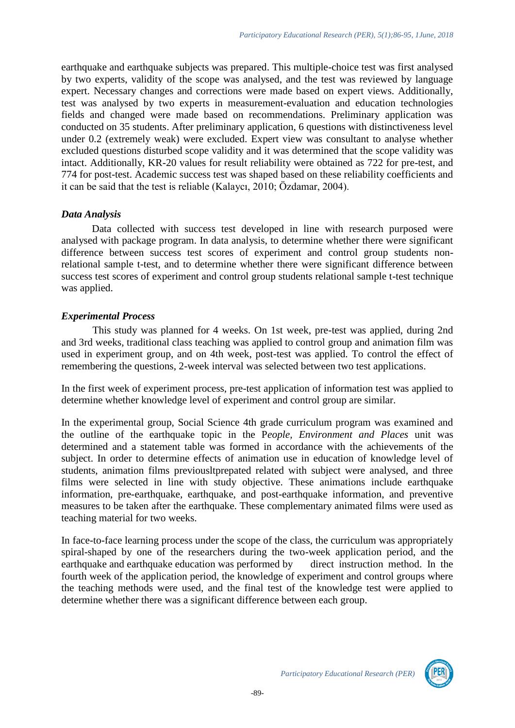earthquake and earthquake subjects was prepared. This multiple-choice test was first analysed by two experts, validity of the scope was analysed, and the test was reviewed by language expert. Necessary changes and corrections were made based on expert views. Additionally, test was analysed by two experts in measurement-evaluation and education technologies fields and changed were made based on recommendations. Preliminary application was conducted on 35 students. After preliminary application, 6 questions with distinctiveness level under 0.2 (extremely weak) were excluded. Expert view was consultant to analyse whether excluded questions disturbed scope validity and it was determined that the scope validity was intact. Additionally, KR-20 values for result reliability were obtained as 722 for pre-test, and 774 for post-test. Academic success test was shaped based on these reliability coefficients and it can be said that the test is reliable (Kalaycı, 2010; Özdamar, 2004).

#### *Data Analysis*

Data collected with success test developed in line with research purposed were analysed with package program. In data analysis, to determine whether there were significant difference between success test scores of experiment and control group students nonrelational sample t-test, and to determine whether there were significant difference between success test scores of experiment and control group students relational sample t-test technique was applied.

#### *Experimental Process*

This study was planned for 4 weeks. On 1st week, pre-test was applied, during 2nd and 3rd weeks, traditional class teaching was applied to control group and animation film was used in experiment group, and on 4th week, post-test was applied. To control the effect of remembering the questions, 2-week interval was selected between two test applications.

In the first week of experiment process, pre-test application of information test was applied to determine whether knowledge level of experiment and control group are similar.

In the experimental group, Social Science 4th grade curriculum program was examined and the outline of the earthquake topic in the P*eople, Environment and Places* unit was determined and a statement table was formed in accordance with the achievements of the subject. In order to determine effects of animation use in education of knowledge level of students, animation films previousltprepated related with subject were analysed, and three films were selected in line with study objective. These animations include earthquake information, pre-earthquake, earthquake, and post-earthquake information, and preventive measures to be taken after the earthquake. These complementary animated films were used as teaching material for two weeks.

In face-to-face learning process under the scope of the class, the curriculum was appropriately spiral-shaped by one of the researchers during the two-week application period, and the earthquake and earthquake education was performed by direct instruction method. In the fourth week of the application period, the knowledge of experiment and control groups where the teaching methods were used, and the final test of the knowledge test were applied to determine whether there was a significant difference between each group.

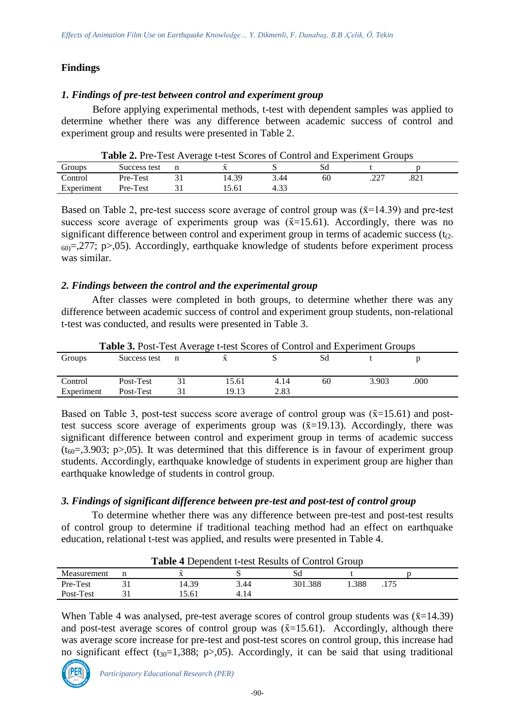# **Findings**

#### *1. Findings of pre-test between control and experiment group*

Before applying experimental methods, t-test with dependent samples was applied to determine whether there was any difference between academic success of control and experiment group and results were presented in Table 2.

| <b>Table 2.</b> Pre-Test Average t-test Scores of Control and Experiment Groups |              |  |       |      |    |  |  |
|---------------------------------------------------------------------------------|--------------|--|-------|------|----|--|--|
| Groups                                                                          | Success test |  |       |      |    |  |  |
| Control                                                                         | Pre-Test     |  | 14.39 | 3.44 | 60 |  |  |
| Experiment                                                                      | Pre-Test     |  | 5.61  | 4.33 |    |  |  |

**Table 2.** Pre-Test Average t-test Scores of Control and Experiment Groups

Based on Table 2, pre-test success score average of control group was  $(\bar{x}=14.39)$  and pre-test success score average of experiments group was  $(\bar{x}=15.61)$ . Accordingly, there was no significant difference between control and experiment group in terms of academic success  $(t<sub>2</sub>)$ .  $_{60}$ =,277; p>,05). Accordingly, earthquake knowledge of students before experiment process was similar.

#### *2. Findings between the control and the experimental group*

After classes were completed in both groups, to determine whether there was any difference between academic success of control and experiment group students, non-relational t-test was conducted, and results were presented in Table 3.

| <b>Table 3.</b> Post-Test Average t-test Scores of Control and Experiment Groups |                        |  |                |              |    |       |      |  |
|----------------------------------------------------------------------------------|------------------------|--|----------------|--------------|----|-------|------|--|
| Groups                                                                           | Success test           |  |                |              | Sd |       |      |  |
| Control<br>Experiment                                                            | Post-Test<br>Post-Test |  | 15.61<br>19.13 | 4.14<br>2.83 | 60 | 3.903 | .000 |  |

Based on Table 3, post-test success score average of control group was  $(\bar{x}=15.61)$  and posttest success score average of experiments group was  $(\bar{x}=19.13)$ . Accordingly, there was significant difference between control and experiment group in terms of academic success  $(t_{60}=3.903; p>0.05)$ . It was determined that this difference is in favour of experiment group students. Accordingly, earthquake knowledge of students in experiment group are higher than earthquake knowledge of students in control group.

# *3. Findings of significant difference between pre-test and post-test of control group*

To determine whether there was any difference between pre-test and post-test results of control group to determine if traditional teaching method had an effect on earthquake education, relational t-test was applied, and results were presented in Table 4.

| <b>Table 4 Dependent t-test Results of Control Group</b> |  |       |      |         |      |  |  |
|----------------------------------------------------------|--|-------|------|---------|------|--|--|
| Measurement                                              |  |       |      |         |      |  |  |
| Pre-Test                                                 |  | 14.39 | 3.44 | 301.388 | .388 |  |  |
| Post-Test                                                |  | 5.61  | 4.14 |         |      |  |  |

#### **Table 4** Dependent t-test Results of Control Group

When Table 4 was analysed, pre-test average scores of control group students was  $(\bar{x}=14.39)$ and post-test average scores of control group was  $(\bar{x}=15.61)$ . Accordingly, although there was average score increase for pre-test and post-test scores on control group, this increase had no significant effect  $(t_{30}=1,388; p>0.05)$ . Accordingly, it can be said that using traditional

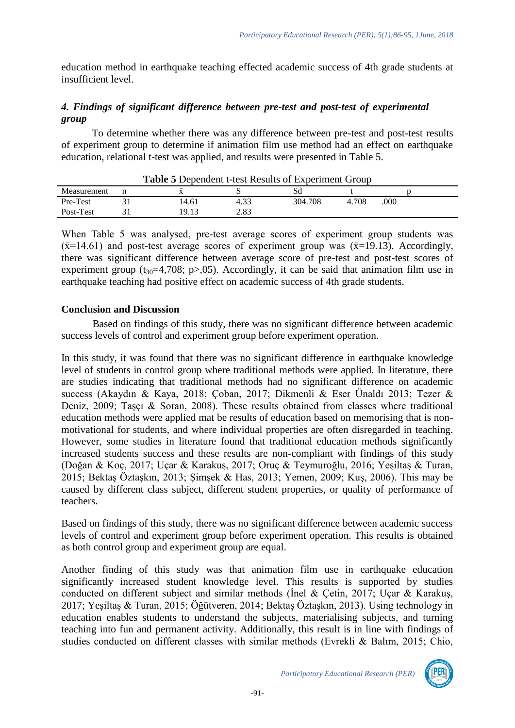education method in earthquake teaching effected academic success of 4th grade students at insufficient level.

# *4. Findings of significant difference between pre-test and post-test of experimental group*

To determine whether there was any difference between pre-test and post-test results of experiment group to determine if animation film use method had an effect on earthquake education, relational t-test was applied, and results were presented in Table 5.

|             | <b>Table 5</b> Dependent t-test Results of Experiment Group |      |         |       |      |  |
|-------------|-------------------------------------------------------------|------|---------|-------|------|--|
| Measurement |                                                             |      |         |       |      |  |
| Pre-Test    | 14.61                                                       |      | 304.708 | 4.708 | .000 |  |
| Post-Test   | 19.13                                                       | 2.83 |         |       |      |  |

| <b>Table 5</b> Dependent t-test Results of Experiment Group |  |
|-------------------------------------------------------------|--|
|-------------------------------------------------------------|--|

When Table 5 was analysed, pre-test average scores of experiment group students was  $(\bar{x}$ =14.61) and post-test average scores of experiment group was ( $\bar{x}$ =19.13). Accordingly, there was significant difference between average score of pre-test and post-test scores of experiment group ( $t_{30}$ =4,708; p>,05). Accordingly, it can be said that animation film use in earthquake teaching had positive effect on academic success of 4th grade students.

#### **Conclusion and Discussion**

Based on findings of this study, there was no significant difference between academic success levels of control and experiment group before experiment operation.

In this study, it was found that there was no significant difference in earthquake knowledge level of students in control group where traditional methods were applied. In literature, there are studies indicating that traditional methods had no significant difference on academic success (Akaydın & Kaya, 2018; Çoban, 2017; Dikmenli & Eser Ünaldı 2013; Tezer & Deniz, 2009; Taşçı & Soran, 2008). These results obtained from classes where traditional education methods were applied mat be results of education based on memorising that is nonmotivational for students, and where individual properties are often disregarded in teaching. However, some studies in literature found that traditional education methods significantly increased students success and these results are non-compliant with findings of this study (Doğan & Koç, 2017; Uçar & Karakuş, 2017; Oruç & Teymuroğlu, 2016; Yeşiltaş & Turan, 2015; Bektaş Öztaşkın, 2013; Şimşek & Has, 2013; Yemen, 2009; Kuş, 2006). This may be caused by different class subject, different student properties, or quality of performance of teachers.

Based on findings of this study, there was no significant difference between academic success levels of control and experiment group before experiment operation. This results is obtained as both control group and experiment group are equal.

Another finding of this study was that animation film use in earthquake education significantly increased student knowledge level. This results is supported by studies conducted on different subject and similar methods (İnel & Çetin, 2017; Uçar & Karakuş, 2017; Yeşiltaş & Turan, 2015; Öğütveren, 2014; Bektaş Öztaşkın, 2013). Using technology in education enables students to understand the subjects, materialising subjects, and turning teaching into fun and permanent activity. Additionally, this result is in line with findings of studies conducted on different classes with similar methods (Evrekli & Balım, 2015; Chio,

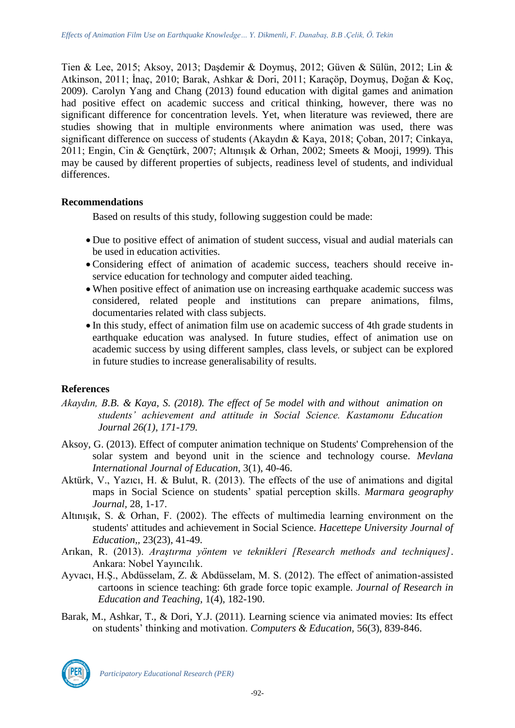Tien & Lee, 2015; Aksoy, 2013; Daşdemir & Doymuş, 2012; Güven & Sülün, 2012; Lin & Atkinson, 2011; İnaç, 2010; Barak, Ashkar & Dori, 2011; Karaçöp, Doymuş, Doğan & Koç, 2009). Carolyn Yang and Chang (2013) found education with digital games and animation had positive effect on academic success and critical thinking, however, there was no significant difference for concentration levels. Yet, when literature was reviewed, there are studies showing that in multiple environments where animation was used, there was significant difference on success of students (Akaydın & Kaya, 2018; Çoban, 2017; Cinkaya, 2011; Engin, Cin & Gençtürk, 2007; Altınışık & Orhan, 2002; Smeets & Mooji, 1999). This may be caused by different properties of subjects, readiness level of students, and individual differences.

# **Recommendations**

Based on results of this study, following suggestion could be made:

- Due to positive effect of animation of student success, visual and audial materials can be used in education activities.
- Considering effect of animation of academic success, teachers should receive inservice education for technology and computer aided teaching.
- When positive effect of animation use on increasing earthquake academic success was considered, related people and institutions can prepare animations, films, documentaries related with class subjects.
- In this study, effect of animation film use on academic success of 4th grade students in earthquake education was analysed. In future studies, effect of animation use on academic success by using different samples, class levels, or subject can be explored in future studies to increase generalisability of results.

# **References**

- *Akaydın, B.B. & Kaya, S. (2018). The effect of 5e model with and without animation on students' achievement and attitude in Social Science. Kastamonu Education Journal 26(1), 171-179.*
- Aksoy, G. (2013). Effect of computer animation technique on Students' Comprehension of the solar system and beyond unit in the science and technology course. *Mevlana International Journal of Education,* 3(1), 40-46.
- Aktürk, V., Yazıcı, H. & Bulut, R. (2013). The effects of the use of animations and digital maps in Social Science on students' spatial perception skills. *Marmara geography Journal,* 28, 1-17.
- Altınışık, S. & Orhan, F. (2002). The effects of multimedia learning environment on the students' attitudes and achievement in Social Science. *Hacettepe University Journal of Education*,*,* 23(23), 41-49.
- Arıkan, R. (2013). *Araştırma yöntem ve teknikleri [Research methods and techniques]*. Ankara: Nobel Yayıncılık.
- Ayvacı, H.Ş., Abdüsselam, Z. & Abdüsselam, M. S. (2012). The effect of animation-assisted cartoons in science teaching: 6th grade force topic example. *Journal of Research in Education and Teaching*, 1(4), 182-190.
- Barak, M., Ashkar, T., & Dori, Y.J. (2011). Learning science via animated movies: Its effect on students' thinking and motivation. *Computers & Education,* 56(3), 839-846.



*Participatory Educational Research (PER)*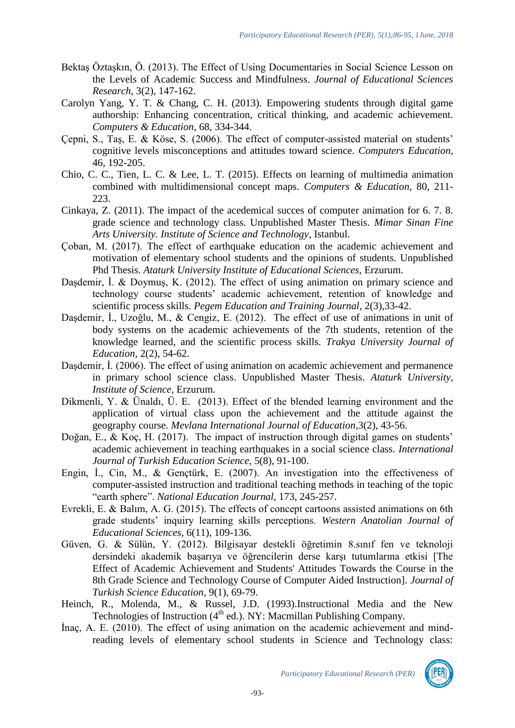- Bektaş Öztaşkın, Ö. (2013). The Effect of Using Documentaries in Social Science Lesson on the Levels of Academic Success and Mindfulness. *Journal of Educational Sciences Research*, 3(2), 147-162.
- Carolyn Yang, Y. T. & Chang, C. H. (2013). Empowering students through digital game authorship: Enhancing concentration, critical thinking, and academic achievement. *Computers & Education*, 68, 334-344.
- Çepni, S., Taş, E. & Köse, S. (2006). The effect of computer-assisted material on students' cognitive levels misconceptions and attitudes toward science. *Computers Education*, 46, 192-205.
- Chio, C. C., Tien, L. C. & Lee, L. T. (2015). Effects on learning of multimedia animation combined with multidimensional concept maps. *Computers & Education*, 80, 211- 223.
- Cinkaya, Z. (2011). The impact of the acedemical succes of computer animation for 6. 7. 8. grade science and technology class. Unpublished Master Thesis. *Mimar Sinan Fine Arts University. Institute of Science and Technology*, Istanbul.
- Çoban, M. (2017). The effect of earthquake education on the academic achievement and motivation of elementary school students and the opinions of students. Unpublished Phd Thesis. *Ataturk University Institute of Educational Sciences,* Erzurum.
- Daşdemir, İ. & Doymuş, K. (2012). The effect of using animation on primary science and technology course students' academic achievement, retention of knowledge and scientific process skills. *Pegem Education and Training Journal*, 2(3),33-42.
- Daşdemir, İ., Uzoğlu, M., & Cengiz, E. (2012). The effect of use of animations in unit of body systems on the academic achievements of the 7th students, retention of the knowledge learned, and the scientific process skills. *Trakya University Journal of Education,* 2(2), 54-62.
- Daşdemir, İ. (2006). The effect of using animation on academic achievement and permanence in primary school science class. Unpublished Master Thesis. *Ataturk University, Institute of Science*, Erzurum.
- Dikmenli, Y. & Ünaldı, Ü. E. (2013). Effect of the blended learning environment and the application of virtual class upon the achievement and the attitude against the geography course. *Mevlana International Journal of Education*,3(2), 43-56.
- Doğan, E., & Koç, H. (2017). The impact of instruction through digital games on students' academic achievement in teaching earthquakes in a social science class. *International Journal of Turkish Education Science*, 5(8), 91-100.
- Engin, İ., Cin, M., & Gençtürk, E. (2007). An investigation into the effectiveness of computer-assisted instruction and traditional teaching methods in teaching of the topic "earth sphere". *National Education Journal,* 173, 245-257.
- Evrekli, E. & Balım, A. G. (2015). The effects of concept cartoons assisted animations on 6th grade students' inquiry learning skills perceptions. *Western Anatolian Journal of Educational Sciences*, 6(11), 109-136.
- Güven, G. & Sülün, Y. (2012). Bilgisayar destekli öğretimin 8.sınıf fen ve teknoloji dersindeki akademik başarıya ve öğrencilerin derse karşı tutumlarına etkisi [The Effect of Academic Achievement and Students' Attitudes Towards the Course in the 8th Grade Science and Technology Course of Computer Aided Instruction]. *Journal of Turkish Science Education*, 9(1), 69-79.
- Heinch, R., Molenda, M., & Russel, J.D. (1993).Instructional Media and the New Technologies of Instruction (4<sup>th</sup> ed.). NY: Macmillan Publishing Company.
- İnaç, A. E. (2010). The effect of using animation on the academic achievement and mindreading levels of elementary school students in Science and Technology class:



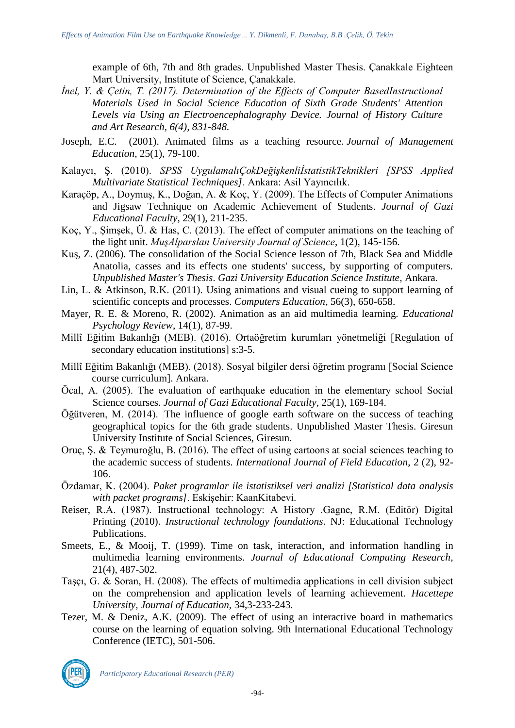example of 6th, 7th and 8th grades. Unpublished Master Thesis. Çanakkale Eighteen Mart University, Institute of Science, Çanakkale.

- *İnel, Y. & Çetin, T. (2017). Determination of the Effects of Computer BasedInstructional Materials Used in Social Science Education of Sixth Grade Students' Attention Levels via Using an Electroencephalography Device. Journal of History Culture and Art Research, 6(4), 831-848.*
- Joseph, E.C. (2001). Animated films as a teaching resource. *Journal of Management Education*, 25(1), 79-100.
- Kalaycı, Ş. (2010). *SPSS UygulamalıÇokDeğişkenliİstatistikTeknikleri [SPSS Applied Multivariate Statistical Techniques]*. Ankara: Asil Yayıncılık.
- Karaçöp, A., Doymuş, K., Doğan, A. & Koç, Y. (2009). The Effects of Computer Animations and Jigsaw Technique on Academic Achievement of Students. *Journal of Gazi Educational Faculty,* 29(1), 211-235.
- Koç, Y., Şimşek, Ü. & Has, C. (2013). The effect of computer animations on the teaching of the light unit. *MuşAlparslan University Journal of Science*, 1(2), 145-156.
- Kuş, Z. (2006). The consolidation of the Social Science lesson of 7th, Black Sea and Middle Anatolia, casses and its effects one students' success, by supporting of computers. *Unpublished Master's Thesis*. *Gazi University Education Science Institute*, Ankara.
- Lin, L. & Atkinson, R.K. (2011). Using animations and visual cueing to support learning of scientific concepts and processes. *Computers Education*, 56(3), 650-658.
- Mayer, R. E. & Moreno, R. (2002). Animation as an aid multimedia learning. *Educational Psychology Review*, 14(1), 87-99.
- Millî Eğitim Bakanlığı (MEB). (2016). Ortaöğretim kurumları yönetmeliği [Regulation of secondary education institutions] s:3-5.
- Millî Eğitim Bakanlığı (MEB). (2018). Sosyal bilgiler dersi öğretim programı [Social Science course curriculum]. Ankara.
- Öcal, A. (2005). The evaluation of earthquake education in the elementary school Social Science courses. *Journal of Gazi Educational Faculty,* 25(1), 169-184.
- Öğütveren, M. (2014). The influence of google earth software on the success of teaching geographical topics for the 6th grade students. Unpublished Master Thesis. Giresun University Institute of Social Sciences, Giresun.
- Oruç, Ş. & Teymuroğlu, B. (2016). The effect of using cartoons at social sciences teaching to the academic success of students. *International Journal of Field Education*, 2 (2), 92- 106.
- Özdamar, K. (2004). *Paket programlar ile istatistiksel veri analizi [Statistical data analysis with packet programs]*. Eskişehir: KaanKitabevi.
- Reiser, R.A. (1987). Instructional technology: A History .Gagne, R.M. (Editör) Digital Printing (2010). *Instructional technology foundations*. NJ: Educational Technology Publications.
- Smeets, E., & Mooij, T. (1999). Time on task, interaction, and information handling in multimedia learning environments. *Journal of Educational Computing Research*, 21(4), 487-502.
- Taşçı, G. & Soran, H. (2008). The effects of multimedia applications in cell division subject on the comprehension and application levels of learning achievement. *Hacettepe University, Journal of Education,* 34,3-233-243.
- Tezer, M. & Deniz, A.K. (2009). The effect of using an interactive board in mathematics course on the learning of equation solving. 9th International Educational Technology Conference (IETC), 501-506.